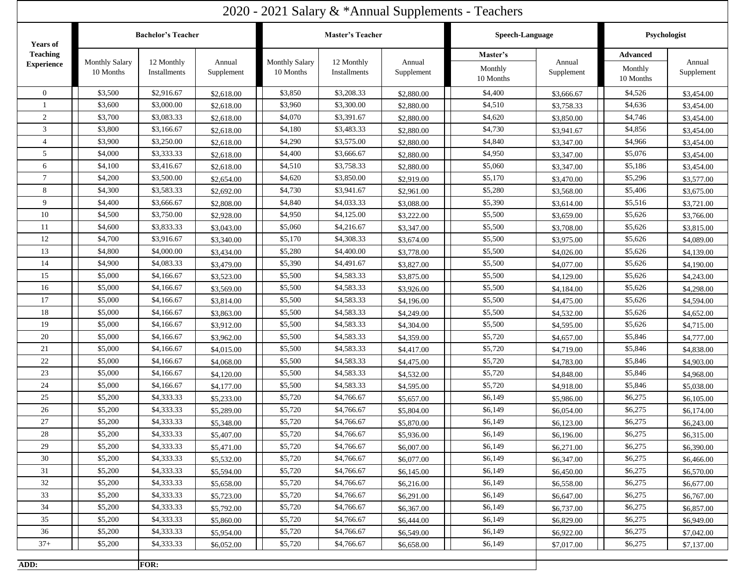| 2020 - 2021 Salary & *Annual Supplements - Teachers |                                    |                            |                      |                                    |                            |                      |                                  |                      |                                         |                      |
|-----------------------------------------------------|------------------------------------|----------------------------|----------------------|------------------------------------|----------------------------|----------------------|----------------------------------|----------------------|-----------------------------------------|----------------------|
| <b>Years of</b>                                     | <b>Bachelor's Teacher</b>          |                            |                      | <b>Master's Teacher</b>            |                            |                      | Speech-Language                  |                      | Psychologist                            |                      |
| <b>Teaching</b><br><b>Experience</b>                | <b>Monthly Salary</b><br>10 Months | 12 Monthly<br>Installments | Annual<br>Supplement | <b>Monthly Salary</b><br>10 Months | 12 Monthly<br>Installments | Annual<br>Supplement | Master's<br>Monthly<br>10 Months | Annual<br>Supplement | <b>Advanced</b><br>Monthly<br>10 Months | Annual<br>Supplement |
| $\overline{0}$                                      | \$3,500                            | \$2,916.67                 | \$2,618.00           | \$3,850                            | \$3,208.33                 | \$2,880.00           | \$4,400                          | \$3,666.67           | \$4,526                                 | \$3,454.00           |
|                                                     | \$3,600                            | \$3,000.00                 | \$2,618.00           | \$3,960                            | \$3,300.00                 | \$2,880.00           | \$4,510                          | \$3,758.33           | \$4,636                                 | \$3,454.00           |
| 2                                                   | \$3,700                            | \$3,083.33                 | \$2,618.00           | \$4,070                            | \$3,391.67                 | \$2,880.00           | \$4,620                          | \$3,850.00           | \$4,746                                 | \$3,454.00           |
| 3                                                   | \$3,800                            | \$3,166.67                 | \$2,618.00           | \$4,180                            | \$3,483.33                 | \$2,880.00           | \$4,730                          | \$3,941.67           | \$4,856                                 | \$3,454.00           |
| 4                                                   | \$3,900                            | \$3,250.00                 | \$2,618.00           | \$4,290                            | \$3,575.00                 | \$2,880.00           | \$4,840                          | \$3,347.00           | \$4,966                                 | \$3,454.00           |
| 5                                                   | \$4,000                            | \$3,333.33                 | \$2,618.00           | \$4,400                            | \$3,666.67                 | \$2,880.00           | \$4,950                          | \$3,347.00           | \$5,076                                 | \$3,454.00           |
| 6                                                   | \$4,100                            | \$3,416.67                 | \$2,618.00           | \$4,510                            | \$3,758.33                 | \$2,880.00           | \$5,060                          | \$3,347.00           | \$5,186                                 | \$3,454.00           |
| $\tau$                                              | \$4,200                            | \$3,500.00                 | \$2,654.00           | \$4,620                            | \$3,850.00                 | \$2,919.00           | \$5,170                          | \$3,470.00           | \$5,296                                 | \$3,577.00           |
| 8                                                   | \$4,300                            | \$3,583.33                 | \$2,692.00           | \$4,730                            | \$3,941.67                 | \$2,961.00           | \$5,280                          | \$3,568.00           | \$5,406                                 | \$3,675.00           |
| 9                                                   | \$4,400                            | \$3,666.67                 | \$2,808.00           | \$4,840                            | \$4,033.33                 | \$3,088.00           | \$5,390                          | \$3,614.00           | \$5,516                                 | \$3,721.00           |
| 10                                                  | \$4,500                            | \$3,750.00                 | \$2,928.00           | \$4,950                            | \$4,125.00                 | \$3,222.00           | \$5,500                          | \$3,659.00           | \$5,626                                 | \$3,766.00           |
| 11                                                  | \$4,600                            | \$3,833.33                 | \$3,043.00           | \$5,060                            | \$4,216.67                 | \$3,347.00           | \$5,500                          | \$3,708.00           | \$5,626                                 | \$3,815.00           |
| 12                                                  | \$4,700                            | \$3,916.67                 | \$3,340.00           | \$5,170                            | \$4,308.33                 | \$3,674.00           | \$5,500                          | \$3,975.00           | \$5,626                                 | \$4,089.00           |
| 13                                                  | \$4,800                            | \$4,000.00                 | \$3,434.00           | \$5,280                            | \$4,400.00                 | \$3,778.00           | \$5,500                          | \$4,026.00           | \$5,626                                 | \$4,139.00           |
| 14                                                  | \$4,900                            | \$4,083.33                 | \$3,479.00           | \$5,390                            | \$4,491.67                 | \$3,827.00           | \$5,500                          | \$4,077.00           | \$5,626                                 | \$4,190.00           |
| 15                                                  | \$5,000                            | \$4,166.67                 | \$3,523.00           | \$5,500                            | \$4,583.33                 | \$3,875.00           | \$5,500                          | \$4,129.00           | \$5,626                                 | \$4,243.00           |
| 16                                                  | \$5,000                            | \$4,166.67                 | \$3,569.00           | \$5,500                            | \$4,583.33                 | \$3,926.00           | \$5,500                          | \$4,184.00           | \$5,626                                 | \$4,298.00           |
| 17                                                  | \$5,000                            | \$4,166.67                 | \$3,814.00           | \$5,500                            | \$4,583.33                 | \$4,196.00           | \$5,500                          | \$4,475.00           | \$5,626                                 | \$4,594.00           |
| 18                                                  | \$5,000                            | \$4,166.67                 | \$3,863.00           | \$5,500                            | \$4,583.33                 | \$4,249.00           | \$5,500                          | \$4,532.00           | \$5,626                                 | \$4,652.00           |
| 19                                                  | \$5,000                            | \$4,166.67                 | \$3,912.00           | \$5,500                            | \$4,583.33                 | \$4,304.00           | \$5,500                          | \$4,595.00           | \$5,626                                 | \$4,715.00           |
| 20                                                  | \$5,000                            | \$4,166.67                 | \$3,962.00           | \$5,500                            | \$4,583.33                 | \$4,359.00           | \$5,720                          | \$4,657.00           | \$5,846                                 | \$4,777.00           |
| 21                                                  | \$5,000                            | \$4,166.67                 | \$4,015.00           | \$5,500                            | \$4,583.33                 | \$4,417.00           | \$5,720                          | \$4,719.00           | \$5,846                                 | \$4,838.00           |
| 22                                                  | \$5,000                            | \$4,166.67                 | \$4,068.00           | \$5,500                            | \$4,583.33                 | \$4,475.00           | \$5,720                          | \$4,783.00           | \$5,846                                 | \$4,903.00           |
| 23                                                  | \$5,000                            | \$4,166.67                 | \$4,120.00           | \$5,500                            | \$4,583.33                 | \$4,532.00           | \$5,720                          | \$4,848.00           | \$5,846                                 | \$4,968.00           |
| 24                                                  | \$5,000                            | \$4,166.67                 | \$4,177.00           | \$5,500                            | \$4,583.33                 | \$4,595.00           | \$5,720                          | \$4,918.00           | \$5,846                                 | \$5,038.00           |
| 25                                                  | \$5,200                            | \$4,333.33                 | \$5,233.00           | \$5,720                            | \$4,766.67                 | \$5,657.00           | \$6,149                          | \$5,986.00           | \$6,275                                 | \$6,105.00           |
| 26                                                  | \$5,200                            | \$4,333.33                 | \$5,289.00           | \$5,720                            | \$4,766.67                 | \$5,804.00           | \$6,149                          | \$6,054.00           | \$6,275                                 | \$6,174.00           |
| 27                                                  | \$5,200                            | \$4,333.33                 | \$5,348.00           | \$5,720                            | \$4,766.67                 | \$5,870.00           | \$6,149                          | \$6,123.00           | \$6,275                                 | \$6,243.00           |
| 28                                                  | \$5,200                            | \$4,333.33                 | \$5,407.00           | \$5,720                            | \$4,766.67                 | \$5,936.00           | \$6,149                          | \$6,196.00           | \$6,275                                 | \$6,315.00           |
| 29                                                  | \$5,200                            | \$4,333.33                 | \$5,471.00           | \$5,720                            | \$4,766.67                 | \$6,007.00           | \$6,149                          | \$6,271.00           | \$6,275                                 | \$6,390.00           |
| 30                                                  | \$5,200                            | \$4,333.33                 | \$5,532.00           | \$5,720                            | \$4,766.67                 | \$6,077.00           | \$6,149                          | \$6,347.00           | \$6,275                                 | \$6,466.00           |
| 31                                                  | \$5,200                            | \$4,333.33                 | \$5,594.00           | \$5,720                            | \$4,766.67                 | \$6,145.00           | \$6,149                          | \$6,450.00           | \$6,275                                 | \$6,570.00           |
| 32                                                  | \$5,200                            | \$4,333.33                 | \$5,658.00           | \$5,720                            | \$4,766.67                 | \$6,216.00           | \$6,149                          | \$6,558.00           | \$6,275                                 | \$6,677.00           |
| 33                                                  | \$5,200                            | \$4,333.33                 | \$5,723.00           | \$5,720                            | \$4,766.67                 | \$6,291.00           | \$6,149                          | \$6,647.00           | \$6,275                                 | \$6,767.00           |
| 34                                                  | \$5,200                            | \$4,333.33                 | \$5,792.00           | \$5,720                            | \$4,766.67                 | \$6,367.00           | \$6,149                          | \$6,737.00           | \$6,275                                 | \$6,857.00           |
| 35                                                  | \$5,200                            | \$4,333.33                 | \$5,860.00           | \$5,720                            | \$4,766.67                 | \$6,444.00           | \$6,149                          | \$6,829.00           | \$6,275                                 | \$6,949.00           |
| 36                                                  | \$5,200                            | \$4,333.33                 | \$5,954.00           | \$5,720                            | \$4,766.67                 | \$6,549.00           | \$6,149                          | \$6,922.00           | \$6,275                                 | \$7,042.00           |
| $37+$                                               | \$5,200                            | \$4,333.33                 | \$6,052.00           | \$5,720                            | \$4,766.67                 | \$6,658.00           | \$6,149                          | \$7,017.00           | \$6,275                                 | \$7,137.00           |
| ADD:                                                |                                    | <b>FOR:</b>                |                      |                                    |                            |                      |                                  |                      |                                         |                      |